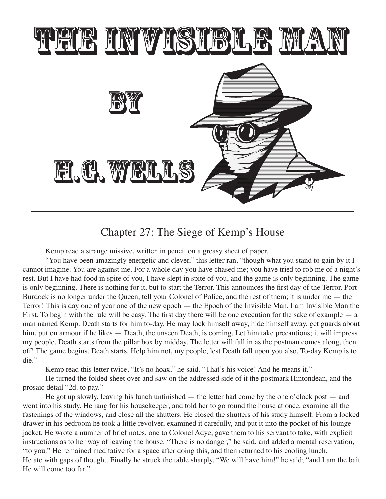

## Chapter 27: The Siege of Kemp's House

Kemp read a strange missive, written in pencil on a greasy sheet of paper.

"You have been amazingly energetic and clever," this letter ran, "though what you stand to gain by it I cannot imagine. You are against me. For a whole day you have chased me; you have tried to rob me of a night's rest. But I have had food in spite of you, I have slept in spite of you, and the game is only beginning. The game is only beginning. There is nothing for it, but to start the Terror. This announces the first day of the Terror. Port Burdock is no longer under the Queen, tell your Colonel of Police, and the rest of them; it is under me — the Terror! This is day one of year one of the new epoch — the Epoch of the Invisible Man. I am Invisible Man the First. To begin with the rule will be easy. The first day there will be one execution for the sake of example — a man named Kemp. Death starts for him to-day. He may lock himself away, hide himself away, get guards about him, put on armour if he likes — Death, the unseen Death, is coming. Let him take precautions; it will impress my people. Death starts from the pillar box by midday. The letter will fall in as the postman comes along, then off! The game begins. Death starts. Help him not, my people, lest Death fall upon you also. To-day Kemp is to die."

Kemp read this letter twice, "It's no hoax," he said. "That's his voice! And he means it."

He turned the folded sheet over and saw on the addressed side of it the postmark Hintondean, and the prosaic detail "2d. to pay."

He got up slowly, leaving his lunch unfinished — the letter had come by the one o'clock post — and went into his study. He rang for his housekeeper, and told her to go round the house at once, examine all the fastenings of the windows, and close all the shutters. He closed the shutters of his study himself. From a locked drawer in his bedroom he took a little revolver, examined it carefully, and put it into the pocket of his lounge jacket. He wrote a number of brief notes, one to Colonel Adye, gave them to his servant to take, with explicit instructions as to her way of leaving the house. "There is no danger," he said, and added a mental reservation, "to you." He remained meditative for a space after doing this, and then returned to his cooling lunch. He ate with gaps of thought. Finally he struck the table sharply. "We will have him!" he said; "and I am the bait. He will come too far."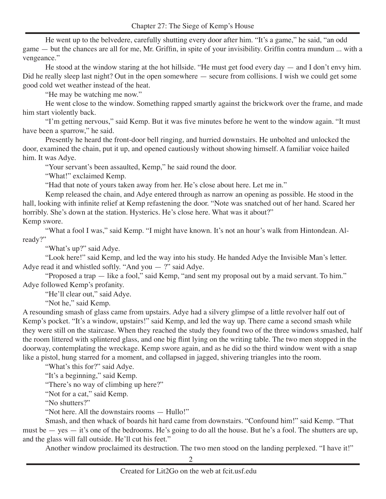He went up to the belvedere, carefully shutting every door after him. "It's a game," he said, "an odd game — but the chances are all for me, Mr. Griffin, in spite of your invisibility. Griffin contra mundum ... with a vengeance."

He stood at the window staring at the hot hillside. "He must get food every day — and I don't envy him. Did he really sleep last night? Out in the open somewhere — secure from collisions. I wish we could get some good cold wet weather instead of the heat.

"He may be watching me now."

He went close to the window. Something rapped smartly against the brickwork over the frame, and made him start violently back.

"I'm getting nervous," said Kemp. But it was five minutes before he went to the window again. "It must have been a sparrow," he said.

Presently he heard the front-door bell ringing, and hurried downstairs. He unbolted and unlocked the door, examined the chain, put it up, and opened cautiously without showing himself. A familiar voice hailed him. It was Adye.

"Your servant's been assaulted, Kemp," he said round the door.

"What!" exclaimed Kemp.

"Had that note of yours taken away from her. He's close about here. Let me in."

Kemp released the chain, and Adye entered through as narrow an opening as possible. He stood in the hall, looking with infinite relief at Kemp refastening the door. "Note was snatched out of her hand. Scared her horribly. She's down at the station. Hysterics. He's close here. What was it about?"

Kemp swore.

"What a fool I was," said Kemp. "I might have known. It's not an hour's walk from Hintondean. Already?"

"What's up?" said Adye.

"Look here!" said Kemp, and led the way into his study. He handed Adye the Invisible Man's letter. Adye read it and whistled softly. "And you  $-$  ?" said Adye.

"Proposed a trap — like a fool," said Kemp, "and sent my proposal out by a maid servant. To him." Adye followed Kemp's profanity.

"He'll clear out," said Adye.

"Not he," said Kemp.

A resounding smash of glass came from upstairs. Adye had a silvery glimpse of a little revolver half out of Kemp's pocket. "It's a window, upstairs!" said Kemp, and led the way up. There came a second smash while they were still on the staircase. When they reached the study they found two of the three windows smashed, half the room littered with splintered glass, and one big flint lying on the writing table. The two men stopped in the doorway, contemplating the wreckage. Kemp swore again, and as he did so the third window went with a snap like a pistol, hung starred for a moment, and collapsed in jagged, shivering triangles into the room.

"What's this for?" said Adye.

"It's a beginning," said Kemp.

"There's no way of climbing up here?"

"Not for a cat," said Kemp.

"No shutters?"

"Not here. All the downstairs rooms — Hullo!"

Smash, and then whack of boards hit hard came from downstairs. "Confound him!" said Kemp. "That must be — yes — it's one of the bedrooms. He's going to do all the house. But he's a fool. The shutters are up, and the glass will fall outside. He'll cut his feet."

Another window proclaimed its destruction. The two men stood on the landing perplexed. "I have it!"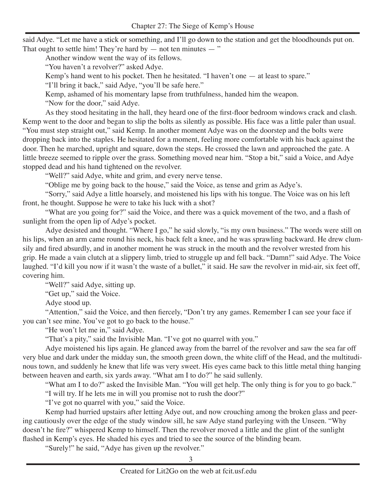said Adye. "Let me have a stick or something, and I'll go down to the station and get the bloodhounds put on. That ought to settle him! They're hard by  $-$  not ten minutes  $-$  "

Another window went the way of its fellows.

"You haven't a revolver?" asked Adye.

Kemp's hand went to his pocket. Then he hesitated. "I haven't one — at least to spare."

"I'll bring it back," said Adye, "you'll be safe here."

Kemp, ashamed of his momentary lapse from truthfulness, handed him the weapon.

"Now for the door," said Adye.

As they stood hesitating in the hall, they heard one of the first-floor bedroom windows crack and clash. Kemp went to the door and began to slip the bolts as silently as possible. His face was a little paler than usual. "You must step straight out," said Kemp. In another moment Adye was on the doorstep and the bolts were dropping back into the staples. He hesitated for a moment, feeling more comfortable with his back against the door. Then he marched, upright and square, down the steps. He crossed the lawn and approached the gate. A little breeze seemed to ripple over the grass. Something moved near him. "Stop a bit," said a Voice, and Adye stopped dead and his hand tightened on the revolver.

"Well?" said Adye, white and grim, and every nerve tense.

"Oblige me by going back to the house," said the Voice, as tense and grim as Adye's.

"Sorry," said Adye a little hoarsely, and moistened his lips with his tongue. The Voice was on his left front, he thought. Suppose he were to take his luck with a shot?

"What are you going for?" said the Voice, and there was a quick movement of the two, and a flash of sunlight from the open lip of Adye's pocket.

Adye desisted and thought. "Where I go," he said slowly, "is my own business." The words were still on his lips, when an arm came round his neck, his back felt a knee, and he was sprawling backward. He drew clumsily and fired absurdly, and in another moment he was struck in the mouth and the revolver wrested from his grip. He made a vain clutch at a slippery limb, tried to struggle up and fell back. "Damn!" said Adye. The Voice laughed. "I'd kill you now if it wasn't the waste of a bullet," it said. He saw the revolver in mid-air, six feet off, covering him.

"Well?" said Adye, sitting up.

"Get up," said the Voice.

Adye stood up.

"Attention," said the Voice, and then fiercely, "Don't try any games. Remember I can see your face if you can't see mine. You've got to go back to the house."

"He won't let me in," said Adye.

"That's a pity," said the Invisible Man. "I've got no quarrel with you."

Adye moistened his lips again. He glanced away from the barrel of the revolver and saw the sea far off very blue and dark under the midday sun, the smooth green down, the white cliff of the Head, and the multitudinous town, and suddenly he knew that life was very sweet. His eyes came back to this little metal thing hanging between heaven and earth, six yards away. "What am I to do?" he said sullenly.

"What am I to do?" asked the Invisible Man. "You will get help. The only thing is for you to go back."

"I will try. If he lets me in will you promise not to rush the door?"

"I've got no quarrel with you," said the Voice.

Kemp had hurried upstairs after letting Adye out, and now crouching among the broken glass and peering cautiously over the edge of the study window sill, he saw Adye stand parleying with the Unseen. "Why doesn't he fire?" whispered Kemp to himself. Then the revolver moved a little and the glint of the sunlight flashed in Kemp's eyes. He shaded his eyes and tried to see the source of the blinding beam.

"Surely!" he said, "Adye has given up the revolver."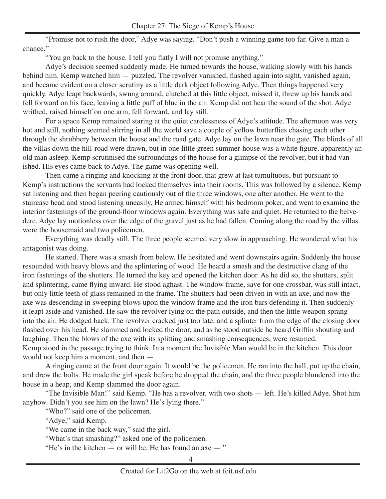"Promise not to rush the door," Adye was saying. "Don't push a winning game too far. Give a man a chance."

"You go back to the house. I tell you flatly I will not promise anything."

Adye's decision seemed suddenly made. He turned towards the house, walking slowly with his hands behind him. Kemp watched him — puzzled. The revolver vanished, flashed again into sight, vanished again, and became evident on a closer scrutiny as a little dark object following Adye. Then things happened very quickly. Adye leapt backwards, swung around, clutched at this little object, missed it, threw up his hands and fell forward on his face, leaving a little puff of blue in the air. Kemp did not hear the sound of the shot. Adye writhed, raised himself on one arm, fell forward, and lay still.

For a space Kemp remained staring at the quiet carelessness of Adye's attitude. The afternoon was very hot and still, nothing seemed stirring in all the world save a couple of yellow butterflies chasing each other through the shrubbery between the house and the road gate. Adye lay on the lawn near the gate. The blinds of all the villas down the hill-road were drawn, but in one little green summer-house was a white figure, apparently an old man asleep. Kemp scrutinised the surroundings of the house for a glimpse of the revolver, but it had vanished. His eyes came back to Adye. The game was opening well.

Then came a ringing and knocking at the front door, that grew at last tumultuous, but pursuant to Kemp's instructions the servants had locked themselves into their rooms. This was followed by a silence. Kemp sat listening and then began peering cautiously out of the three windows, one after another. He went to the staircase head and stood listening uneasily. He armed himself with his bedroom poker, and went to examine the interior fastenings of the ground-floor windows again. Everything was safe and quiet. He returned to the belvedere. Adye lay motionless over the edge of the gravel just as he had fallen. Coming along the road by the villas were the housemaid and two policemen.

Everything was deadly still. The three people seemed very slow in approaching. He wondered what his antagonist was doing.

He started. There was a smash from below. He hesitated and went downstairs again. Suddenly the house resounded with heavy blows and the splintering of wood. He heard a smash and the destructive clang of the iron fastenings of the shutters. He turned the key and opened the kitchen door. As he did so, the shutters, split and splintering, came flying inward. He stood aghast. The window frame, save for one crossbar, was still intact, but only little teeth of glass remained in the frame. The shutters had been driven in with an axe, and now the axe was descending in sweeping blows upon the window frame and the iron bars defending it. Then suddenly it leapt aside and vanished. He saw the revolver lying on the path outside, and then the little weapon sprang into the air. He dodged back. The revolver cracked just too late, and a splinter from the edge of the closing door flashed over his head. He slammed and locked the door, and as he stood outside he heard Griffin shouting and laughing. Then the blows of the axe with its splitting and smashing consequences, were resumed. Kemp stood in the passage trying to think. In a moment the Invisible Man would be in the kitchen. This door would not keep him a moment, and then —

A ringing came at the front door again. It would be the policemen. He ran into the hall, put up the chain, and drew the bolts. He made the girl speak before he dropped the chain, and the three people blundered into the house in a heap, and Kemp slammed the door again.

"The Invisible Man!" said Kemp. "He has a revolver, with two shots — left. He's killed Adye. Shot him anyhow. Didn't you see him on the lawn? He's lying there."

"Who?" said one of the policemen.

"Adye," said Kemp.

"We came in the back way," said the girl.

"What's that smashing?" asked one of the policemen.

"He's in the kitchen  $-$  or will be. He has found an axe  $-$ "